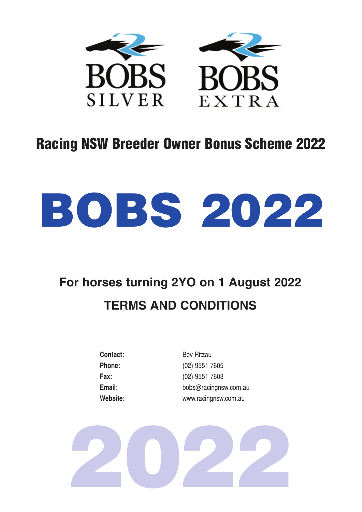

# Racing NSW Breeder Owner Bonus Scheme 2022



# **For horses turning 2YO on 1 August 2022 TERMS AND CONDITIONS**

| Contact: |
|----------|
| Phone:   |
| Fax:     |
| Email:   |
| Website: |

**Contact:** Bev Ritzau **Phone:** (02) 9551 7605 **Fax:** (02) 9551 7603 **Email:** bobs@racingnsw.com.au **Website:** www.racingnsw.com.au

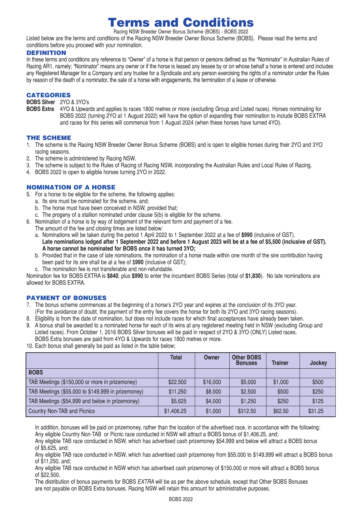# Terms and Conditions Racing NSW Breeder Owner Bonus Scheme (BOBS) - BOBS 2022

Listed below are the terms and conditions of the Racing NSW Breeder Owner Bonus Scheme (BOBS). Please read the terms and conditions before you proceed with your nomination.

# DEFINITION

In these terms and conditions any reference to "Owner" of a horse is that person or persons defined as the "Nominator" in Australian Rules of Racing AR1, namely; "Nominator" means any owner or if the horse is leased any lessee by or on whose behalf a horse is entered and includes any Registered Manager for a Company and any trustee for a Syndicate and any person exercising the rights of a nominator under the Rules by reason of the death of a nominator, the sale of a horse with engagements, the termination of a lease or otherwise.

### CATEGORIES

**BOBS Silver** 2YO & 3YO's

**BOBS Extra** 4YO & Upwards and applies to races 1800 metres or more (excluding Group and Listed races). Horses nominating for BOBS 2022 (turning 2YO at 1 August 2022) will have the option of expanding their nomination to include BOBS EXTRA and races for this series will commence from 1 August 2024 (when these horses have turned 4YO).

#### THE SCHEME

- 1. The scheme is the Racing NSW Breeder Owner Bonus Scheme (BOBS) and is open to eligible horses during their 2YO and 3YO racing seasons.
- 2. The scheme is administered by Racing NSW.
- 3. The scheme is subject to the Rules of Racing of Racing NSW, incorporating the Australian Rules and Local Rules of Racing.
- 4. BOBS 2022 is open to eligible horses turning 2YO in 2022.

# NOMINATION OF A HORSE

- 5. For a horse to be eligible for the scheme, the following applies:
	- a. Its sire must be nominated for the scheme, and;
	- b. The horse must have been conceived in NSW, provided that;
	- c. The progeny of a stallion nominated under clause 5(b) is eligible for the scheme.
- 6. Nomination of a horse is by way of lodgement of the relevant form and payment of a fee. The amount of the fee and closing times are listed below:
	- a. Nominations will be taken during the period 1 April 2022 to 1 September 2022 at a fee of **\$990** (inclusive of GST). **Late nominations lodged after 1 September 2022 and before 1 August 2023 will be at a fee of \$5,500 (inclusive of GST). A horse cannot be nominated for BOBS once it has turned 3YO;**
	- b. Provided that in the case of late nominations, the nomination of a horse made within one month of the sire contribution having been paid for its sire shall be at a fee of \$**990** (inclusive of GST);
	- c. The nomination fee is not transferable and non-refundable.

Nomination fee for BOBS EXTRA is **\$840**, plus **\$990** to enter the incumbent BOBS Series (total of **\$1,830**). No late nominations are allowed for BOBS EXTRA.

#### PAYMENT OF BONUSES

- 7. The bonus scheme commences at the beginning of a horse's 2YO year and expires at the conclusion of its 3YO year. (For the avoidance of doubt, the payment of the entry fee covers the horse for both its 2YO and 3YO racing seasons).
- 8. Eligibility is from the date of nomination, but does not include races for which final acceptances have already been taken.
- 9. A bonus shall be awarded to a nominated horse for each of its wins at any registered meeting held in NSW (excluding Group and Listed races). From October 1, 2016 BOBS Silver bonuses will be paid in respect of 2YO & 3YO (ONLY) Listed races. BOBS Extra bonuses are paid from 4YO & Upwards for races 1800 metres or more.
- 10. Each bonus shall generally be paid as listed in the table below;

|                                                    | <b>Total</b> | Owner    | <b>Other BOBS</b><br><b>Bonuses</b> | <b>Trainer</b> | Jockey  |
|----------------------------------------------------|--------------|----------|-------------------------------------|----------------|---------|
| <b>BOBS</b>                                        |              |          |                                     |                |         |
| TAB Meetings (\$150,000 or more in prizemoney)     | \$22,500     | \$16,000 | \$5,000                             | \$1,000        | \$500   |
| TAB Meetings (\$55,000 to \$149,999 in prizemoney) | \$11,250     | \$8,000  | \$2,500                             | \$500          | \$250   |
| TAB Meetings (\$54,999 and below in prizemoney)    | \$5,625      | \$4,000  | \$1,250                             | \$250          | \$125   |
| Country Non-TAB and Picnics                        | \$1,406.25   | \$1,000  | \$312.50                            | \$62.50        | \$31.25 |

In addition, bonuses will be paid on prizemoney, rather than the location of the advertised race, in accordance with the following: Any eligible Country Non-TAB or Picnic race conducted in NSW will attract a BOBS bonus of \$1,406.25, and;

Any eligible TAB race conducted in NSW, which has advertised cash prizemoney \$54,999 and below will attract a BOBS bonus of \$5,625, and;

Any eligible TAB race conducted in NSW, which has advertised cash prizemoney from \$55,000 to \$149,999 will attract a BOBS bonus of \$11,250, and;

Any eligible TAB race conducted in NSW which has advertised cash prizemoney of \$150,000 or more will attract a BOBS bonus of \$22,500.

The distribution of bonus payments for BOBS *EXTRA* will be as per the above schedule, except that Other BOBS Bonuses are not payable on BOBS Extra bonuses. Racing NSW will retain this amount for administrative purposes.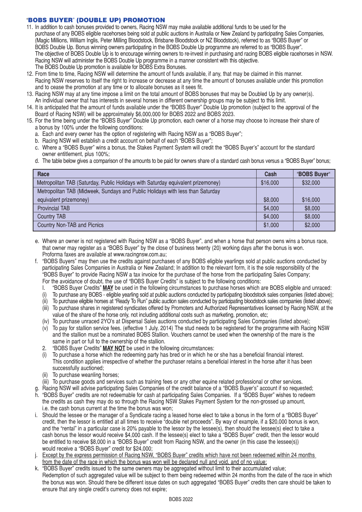# "BOBS BUYER" (DOUBLE UP) PROMOTION

- 11. In addition to cash bonuses provided to owners, Racing NSW may make available additional funds to be used for the purchase of any BOBS eligible racehorses being sold at public auctions in Australia or New Zealand by participating Sales Companies, (Magic Millions, William Inglis, Peter Milling Bloodstock, Brisbane Bloodstock or NZ Bloodstock), referred to as "BOBS Buyer" or BOBS Double Up. Bonus winning owners participating in the BOBS Double Up programme are referred to as "BOBS Buyer". The objective of BOBS Double Up is to encourage winning owners to re-invest in purchasing and racing BOBS eligible racehorses in NSW. Racing NSW will administer the BOBS Double Up programme in a manner consistent with this objective. The BOBS Double Up promotion is available for BOBS Extra Bonuses.
- 12. From time to time, Racing NSW will determine the amount of funds available, if any, that may be claimed in this manner. Racing NSW reserves to itself the right to increase or decrease at any time the amount of bonuses available under this promotion and to cease the promotion at any time or to allocate bonuses as it sees fit.
- 13. Racing NSW may at any time impose a limit on the total amount of BOBS bonuses that may be Doubled Up by any owner(s). An individual owner that has interests in several horses in different ownership groups may be subject to this limit.
- 14. It is anticipated that the amount of funds available under the "BOBS Buyer" Double Up promotion (subject to the approval of the Board of Racing NSW) will be approximately \$6,000,000 for BOBS 2022 and BOBS 2023.
- 15. For the time being under the "BOBS Buyer" Double Up promotion, each owner of a horse may choose to increase their share of a bonus by 100% under the following conditions:
	- a. Each and every owner has the option of registering with Racing NSW as a "BOBS Buyer";
	- b. Racing NSW will establish a credit account on behalf of each "BOBS Buyer";
	- c. Where a "BOBS Buyer" wins a bonus, the Stakes Payment System will credit the "BOBS Buyer's" account for the standard owner entitlement, plus 100%;
	- d. The table below gives a comparison of the amounts to be paid for owners share of a standard cash bonus versus a "BOBS Buyer" bonus;

| Race                                                                             | Cash     | "BOBS Buyer" |
|----------------------------------------------------------------------------------|----------|--------------|
| Metropolitan TAB (Saturday, Public Holidays with Saturday equivalent prizemoney) | \$16,000 | \$32,000     |
| Metropolitan TAB (Midweek, Sundays and Public Holidays with less than Saturday   |          |              |
| equivalent prizemoney)                                                           | \$8,000  | \$16,000     |
| <b>Provincial TAB</b>                                                            | \$4,000  | \$8,000      |
| <b>Country TAB</b>                                                               | \$4,000  | \$8,000      |
| Country Non-TAB and Picnics                                                      | \$1,000  | \$2,000      |

- e. Where an owner is not registered with Racing NSW as a "BOBS Buyer", and when a horse that person owns wins a bonus race, that owner may register as a "BOBS Buyer" by the close of business twenty (20) working days after the bonus is won. Proforma faxes are available at www.racingnsw.com.au:
- f. "BOBS Buyers" may then use the credits against purchases of any BOBS eligible yearlings sold at public auctions conducted by participating Sales Companies in Australia or New Zealand; In addition to the relevant form, it is the sole responsibility of the "BOBS Buyer" to provide Racing NSW a tax invoice for the purchase of the horse from the participating Sales Company; For the avoidance of doubt, the use of "BOBS Buyer Credits" is subject to the following conditions:
	- I. "BOBS Buyer Credits" **MAY** be used in the following circumstances to purchase horses which are BOBS eligible and unraced:
	- (i) To purchase any BOBS eligible yearling sold at public auctions conducted by participating bloodstock sales companies (listed above);
	- (ii) To purchase eligible horses at "Ready To Run" public auction sales conducted by participating bloodstock sales companies (listed above);
	- (iii) To purchase shares in registered syndicates offered by Promoters and Authorized Representatives licensed by Racing NSW, at the value of the share of the horse only, not including additional costs such as marketing, promotion, etc;
	- (iv) To purchase unraced 2YO's at Dispersal Sales auctions conducted by participating Sales Companies (listed above);
	- (v) To pay for stallion service fees. (effective 1 July, 2014) The stud needs to be registered for the programme with Racing NSW and the stallion must be a nominated BOBS Stallion. Vouchers cannot be used when the ownership of the mare is the same in part or full to the ownership of the stallion.
	- 2. "BOBS Buyer Credits" **MAY NOT** be used in the following circumstances:
	- (i) To purchase a horse which the redeeming party has bred or in which he or she has a beneficial financial interest. This condition applies irrespective of whether the purchaser retains a beneficial interest in the horse after it has been successfully auctioned;
	- (ii) To purchase weanling horses;
	- (iii) To purchase goods and services such as training fees or any other equine related professional or other services.
- g. Racing NSW will advise participating Sales Companies of the credit balance of a "BOBS Buyer's" account if so requested;
- h. "BOBS Buyer" credits are not redeemable for cash at participating Sales Companies. If a "BOBS Buyer" wishes to redeem the credits as cash they may do so through the Racing NSW Stakes Payment System for the non-grossed up amount, i.e. the cash bonus current at the time the bonus was won;
- i. Should the lessee or the manager of a Syndicate racing a leased horse elect to take a bonus in the form of a "BOBS Buyer" credit, then the lessor is entitled at all times to receive "double net proceeds". By way of example, if a \$20,000 bonus is won, and the "rental" in a particular case is 20% payable to the lessor by the lessee(s), then should the lessee(s) elect to take a cash bonus the lessor would receive \$4,000 cash. If the lessee(s) elect to take a "BOBS Buyer" credit, then the lessor would be entitled to receive \$8,000 in a "BOBS Buyer" credit from Racing NSW, and the owner (in this case the lessee(s)) would receive a "BOBS Buyer" credit for \$24,000;
- j. Except by the express permission of Racing NSW, "BOBS Buyer" credits which have not been redeemed within 24 months from the date of the race in which the bonus was won will be declared null and void, and of no value;
- k. "BOBS Buyer" credits issued to the same owners may be aggregated without limit to their accumulated value; Redemption of such aggregated value will be subject to them being redeemed within 24 months from the date of the race in which the bonus was won. Should there be different issue dates on such aggregated "BOBS Buyer" credits then care should be taken to ensure that any single credit's currency does not expire;